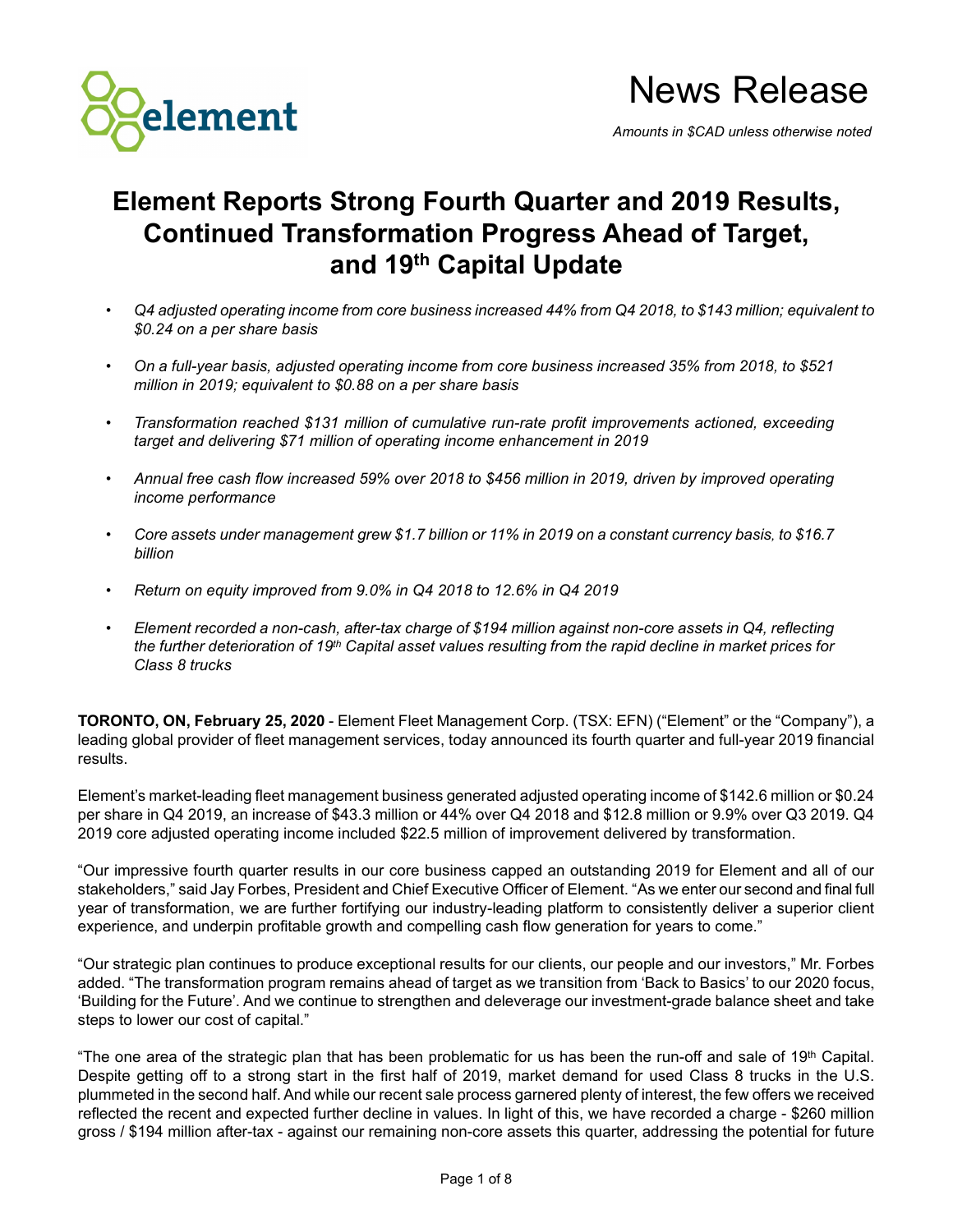

# News Release

*Amounts in \$CAD unless otherwise noted*

# **Element Reports Strong Fourth Quarter and 2019 Results, Continued Transformation Progress Ahead of Target, and 19th Capital Update**

- *Q4 adjusted operating income from core business increased 44% from Q4 2018, to \$143 million; equivalent to \$0.24 on a per share basis*
- *On a full-year basis, adjusted operating income from core business increased 35% from 2018, to \$521 million in 2019; equivalent to \$0.88 on a per share basis*
- *Transformation reached \$131 million of cumulative run-rate profit improvements actioned, exceeding target and delivering \$71 million of operating income enhancement in 2019*
- *Annual free cash flow increased 59% over 2018 to \$456 million in 2019, driven by improved operating income performance*
- *Core assets under management grew \$1.7 billion or 11% in 2019 on a constant currency basis, to \$16.7 billion*
- *Return on equity improved from 9.0% in Q4 2018 to 12.6% in Q4 2019*
- *Element recorded a non-cash, after-tax charge of \$194 million against non-core assets in Q4, reflecting the further deterioration of 19th Capital asset values resulting from the rapid decline in market prices for Class 8 trucks*

**TORONTO, ON, February 25, 2020** - Element Fleet Management Corp. (TSX: EFN) ("Element" or the "Company"), a leading global provider of fleet management services, today announced its fourth quarter and full-year 2019 financial results.

Element's market-leading fleet management business generated adjusted operating income of \$142.6 million or \$0.24 per share in Q4 2019, an increase of \$43.3 million or 44% over Q4 2018 and \$12.8 million or 9.9% over Q3 2019. Q4 2019 core adjusted operating income included \$22.5 million of improvement delivered by transformation.

"Our impressive fourth quarter results in our core business capped an outstanding 2019 for Element and all of our stakeholders," said Jay Forbes, President and Chief Executive Officer of Element. "As we enter our second and final full year of transformation, we are further fortifying our industry-leading platform to consistently deliver a superior client experience, and underpin profitable growth and compelling cash flow generation for years to come."

"Our strategic plan continues to produce exceptional results for our clients, our people and our investors," Mr. Forbes added. "The transformation program remains ahead of target as we transition from 'Back to Basics' to our 2020 focus, 'Building for the Future'. And we continue to strengthen and deleverage our investment-grade balance sheet and take steps to lower our cost of capital."

"The one area of the strategic plan that has been problematic for us has been the run-off and sale of 19<sup>th</sup> Capital. Despite getting off to a strong start in the first half of 2019, market demand for used Class 8 trucks in the U.S. plummeted in the second half. And while our recent sale process garnered plenty of interest, the few offers we received reflected the recent and expected further decline in values. In light of this, we have recorded a charge - \$260 million gross / \$194 million after-tax - against our remaining non-core assets this quarter, addressing the potential for future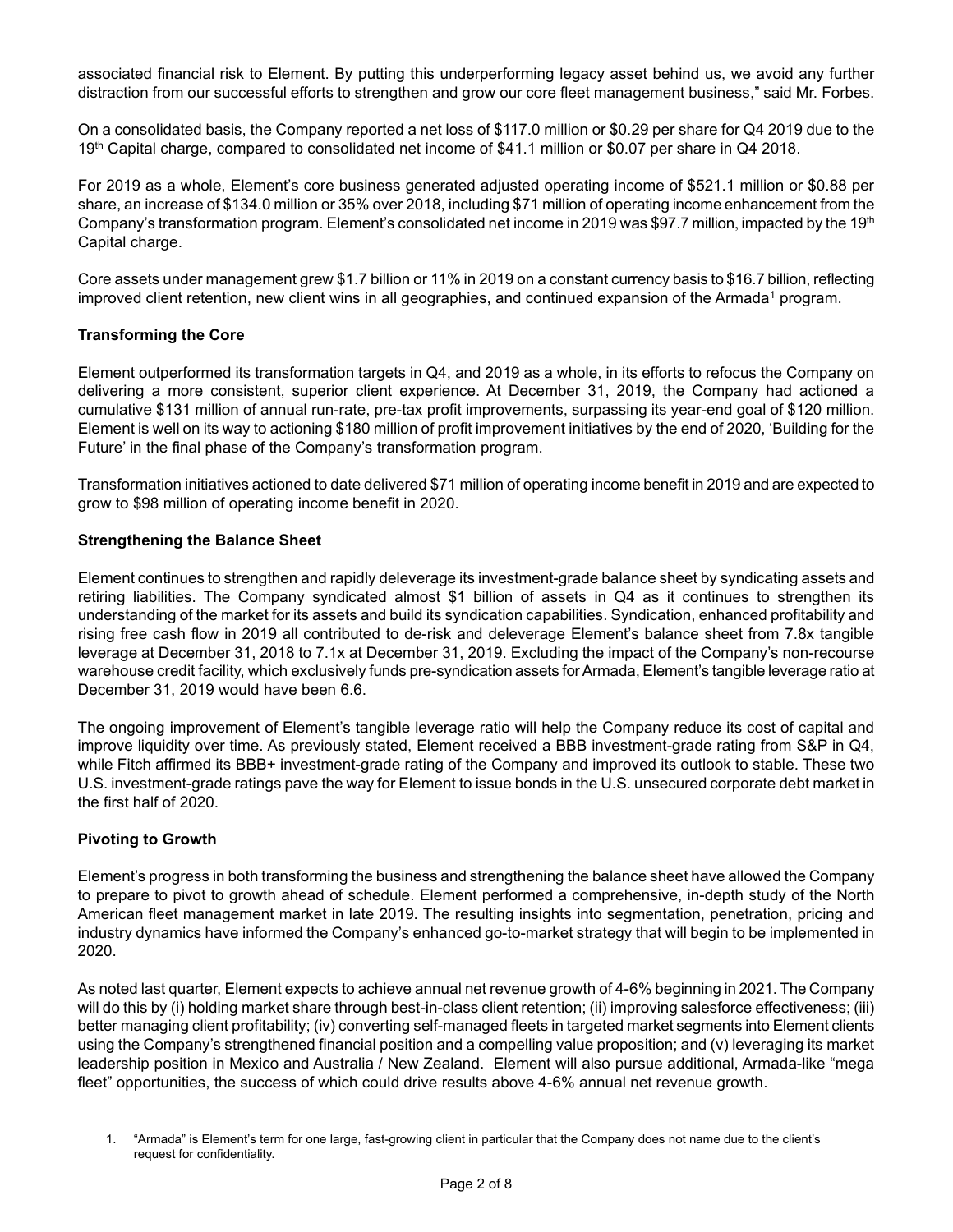associated financial risk to Element. By putting this underperforming legacy asset behind us, we avoid any further distraction from our successful efforts to strengthen and grow our core fleet management business," said Mr. Forbes.

On a consolidated basis, the Company reported a net loss of \$117.0 million or \$0.29 per share for Q4 2019 due to the 19th Capital charge, compared to consolidated net income of \$41.1 million or \$0.07 per share in Q4 2018.

For 2019 as a whole, Element's core business generated adjusted operating income of \$521.1 million or \$0.88 per share, an increase of \$134.0 million or 35% over 2018, including \$71 million of operating income enhancement from the Company's transformation program. Element's consolidated net income in 2019 was \$97.7 million, impacted by the 19<sup>th</sup> Capital charge.

Core assets under management grew \$1.7 billion or 11% in 2019 on a constant currency basis to \$16.7 billion, reflecting improved client retention, new client wins in all geographies, and continued expansion of the Armada<sup>1</sup> program.

# **Transforming the Core**

Element outperformed its transformation targets in Q4, and 2019 as a whole, in its efforts to refocus the Company on delivering a more consistent, superior client experience. At December 31, 2019, the Company had actioned a cumulative \$131 million of annual run-rate, pre-tax profit improvements, surpassing its year-end goal of \$120 million. Element is well on its way to actioning \$180 million of profit improvement initiatives by the end of 2020, 'Building for the Future' in the final phase of the Company's transformation program.

Transformation initiatives actioned to date delivered \$71 million of operating income benefit in 2019 and are expected to grow to \$98 million of operating income benefit in 2020.

# **Strengthening the Balance Sheet**

Element continues to strengthen and rapidly deleverage its investment-grade balance sheet by syndicating assets and retiring liabilities. The Company syndicated almost \$1 billion of assets in Q4 as it continues to strengthen its understanding of the market for its assets and build its syndication capabilities. Syndication, enhanced profitability and rising free cash flow in 2019 all contributed to de-risk and deleverage Element's balance sheet from 7.8x tangible leverage at December 31, 2018 to 7.1x at December 31, 2019. Excluding the impact of the Company's non-recourse warehouse credit facility, which exclusively funds pre-syndication assets for Armada, Element's tangible leverage ratio at December 31, 2019 would have been 6.6.

The ongoing improvement of Element's tangible leverage ratio will help the Company reduce its cost of capital and improve liquidity over time. As previously stated, Element received a BBB investment-grade rating from S&P in Q4, while Fitch affirmed its BBB+ investment-grade rating of the Company and improved its outlook to stable. These two U.S. investment-grade ratings pave the way for Element to issue bonds in the U.S. unsecured corporate debt market in the first half of 2020.

# **Pivoting to Growth**

Element's progress in both transforming the business and strengthening the balance sheet have allowed the Company to prepare to pivot to growth ahead of schedule. Element performed a comprehensive, in-depth study of the North American fleet management market in late 2019. The resulting insights into segmentation, penetration, pricing and industry dynamics have informed the Company's enhanced go-to-market strategy that will begin to be implemented in 2020.

As noted last quarter, Element expects to achieve annual net revenue growth of 4-6% beginning in 2021. The Company will do this by (i) holding market share through best-in-class client retention; (ii) improving salesforce effectiveness; (iii) better managing client profitability; (iv) converting self-managed fleets in targeted market segments into Element clients using the Company's strengthened financial position and a compelling value proposition; and (v) leveraging its market leadership position in Mexico and Australia / New Zealand. Element will also pursue additional, Armada-like "mega fleet" opportunities, the success of which could drive results above 4-6% annual net revenue growth.

<sup>1.</sup> "Armada" is Element's term for one large, fast-growing client in particular that the Company does not name due to the client's request for confidentiality.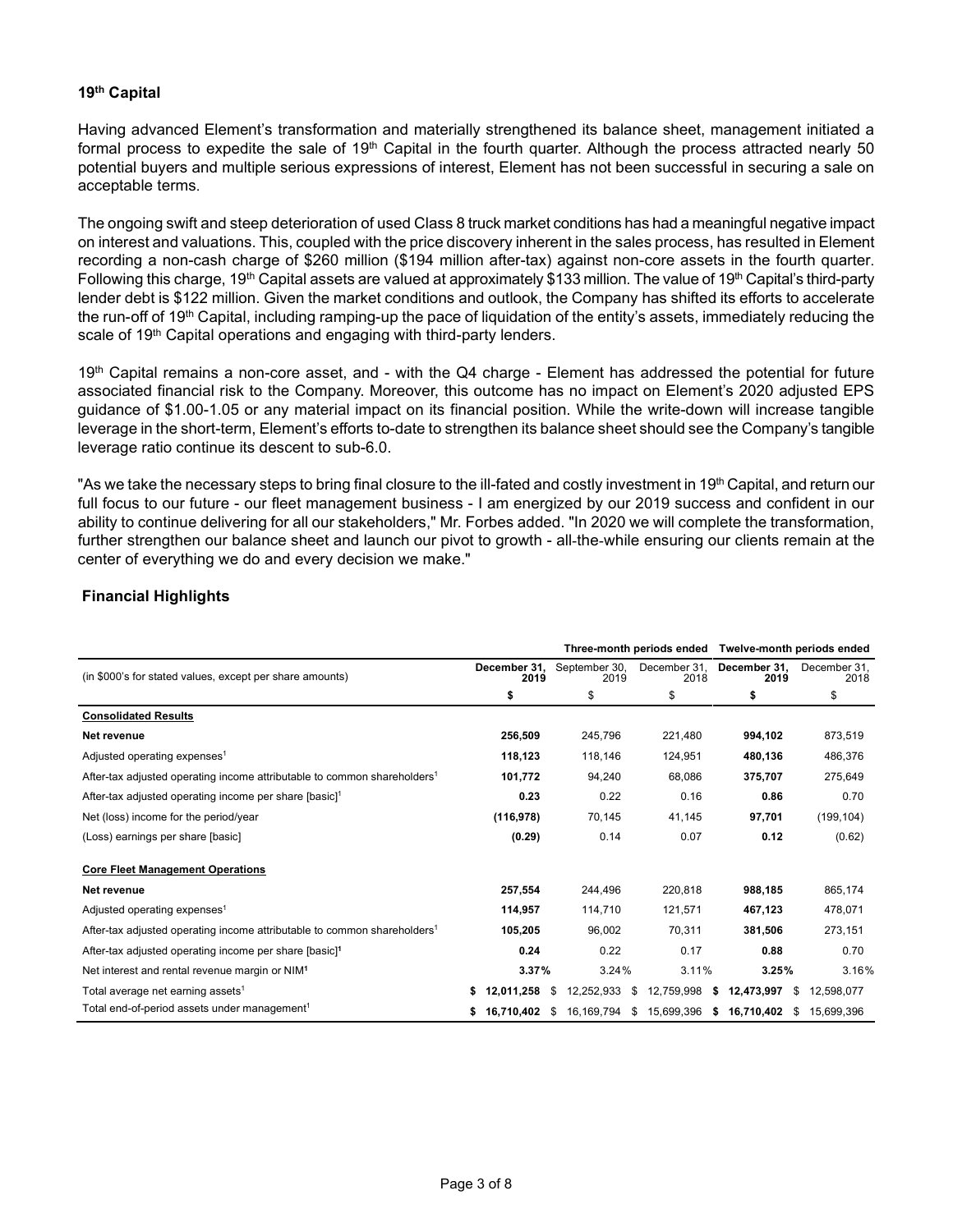# **19th Capital**

Having advanced Element's transformation and materially strengthened its balance sheet, management initiated a formal process to expedite the sale of 19<sup>th</sup> Capital in the fourth quarter. Although the process attracted nearly 50 potential buyers and multiple serious expressions of interest, Element has not been successful in securing a sale on acceptable terms.

The ongoing swift and steep deterioration of used Class 8 truck market conditions has had a meaningful negative impact on interest and valuations. This, coupled with the price discovery inherent in the sales process, has resulted in Element recording a non-cash charge of \$260 million (\$194 million after-tax) against non-core assets in the fourth quarter. Following this charge, 19<sup>th</sup> Capital assets are valued at approximately \$133 million. The value of 19<sup>th</sup> Capital's third-party lender debt is \$122 million. Given the market conditions and outlook, the Company has shifted its efforts to accelerate the run-off of 19<sup>th</sup> Capital, including ramping-up the pace of liquidation of the entity's assets, immediately reducing the scale of 19<sup>th</sup> Capital operations and engaging with third-party lenders.

19<sup>th</sup> Capital remains a non-core asset, and - with the Q4 charge - Element has addressed the potential for future associated financial risk to the Company. Moreover, this outcome has no impact on Element's 2020 adjusted EPS guidance of \$1.00-1.05 or any material impact on its financial position. While the write-down will increase tangible leverage in the short-term, Element's efforts to-date to strengthen its balance sheet should see the Company's tangible leverage ratio continue its descent to sub-6.0.

"As we take the necessary steps to bring final closure to the ill-fated and costly investment in 19<sup>th</sup> Capital, and return our full focus to our future - our fleet management business - I am energized by our 2019 success and confident in our ability to continue delivering for all our stakeholders," Mr. Forbes added. "In 2020 we will complete the transformation, further strengthen our balance sheet and launch our pivot to growth - all-the-while ensuring our clients remain at the center of everything we do and every decision we make."

# **Financial Highlights**

|                                                                                      |                      |                       | Three-month periods ended | Twelve-month periods ended |                      |
|--------------------------------------------------------------------------------------|----------------------|-----------------------|---------------------------|----------------------------|----------------------|
| (in \$000's for stated values, except per share amounts)                             | December 31,<br>2019 | September 30,<br>2019 | December 31,<br>2018      | December 31,<br>2019       | December 31.<br>2018 |
|                                                                                      | \$                   | \$                    | \$                        | \$                         | \$                   |
| <b>Consolidated Results</b>                                                          |                      |                       |                           |                            |                      |
| Net revenue                                                                          | 256,509              | 245.796               | 221,480                   | 994,102                    | 873,519              |
| Adjusted operating expenses <sup>1</sup>                                             | 118,123              | 118,146               | 124.951                   | 480.136                    | 486,376              |
| After-tax adjusted operating income attributable to common shareholders <sup>1</sup> | 101,772              | 94,240                | 68.086                    | 375,707                    | 275,649              |
| After-tax adjusted operating income per share [basic] <sup>1</sup>                   | 0.23                 | 0.22                  | 0.16                      | 0.86                       | 0.70                 |
| Net (loss) income for the period/year                                                | (116, 978)           | 70,145                | 41,145                    | 97,701                     | (199, 104)           |
| (Loss) earnings per share [basic]                                                    | (0.29)               | 0.14                  | 0.07                      | 0.12                       | (0.62)               |
| <b>Core Fleet Management Operations</b>                                              |                      |                       |                           |                            |                      |
| Net revenue                                                                          | 257,554              | 244.496               | 220,818                   | 988,185                    | 865,174              |
| Adjusted operating expenses <sup>1</sup>                                             | 114,957              | 114,710               | 121,571                   | 467,123                    | 478,071              |
| After-tax adjusted operating income attributable to common shareholders <sup>1</sup> | 105,205              | 96,002                | 70,311                    | 381,506                    | 273,151              |
| After-tax adjusted operating income per share [basic] <sup>1</sup>                   | 0.24                 | 0.22                  | 0.17                      | 0.88                       | 0.70                 |
| Net interest and rental revenue margin or NIM <sup>1</sup>                           | 3.37%                | 3.24%                 | 3.11%                     | 3.25%                      | 3.16%                |
| Total average net earning assets <sup>1</sup>                                        | 12,011,258<br>S.     | S<br>12,252,933       | 12,759,998<br>\$          | 12,473,997<br>S<br>S       | 12,598,077           |
| Total end-of-period assets under management <sup>1</sup>                             | 16,710,402           | 16,169,794<br>\$      | 15,699,396<br>\$          | 16,710,402<br>\$<br>S      | 15,699,396           |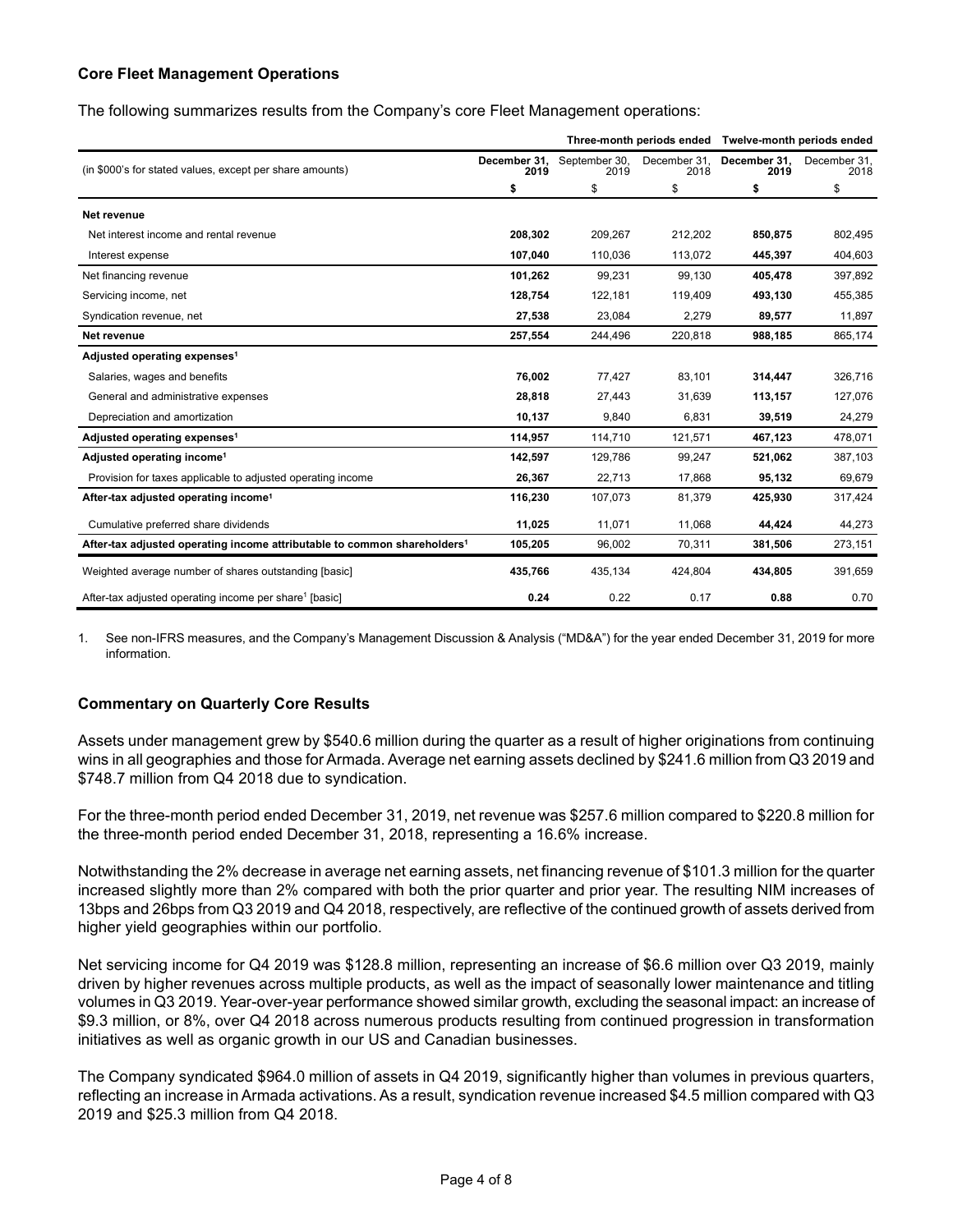# **Core Fleet Management Operations**

The following summarizes results from the Company's core Fleet Management operations:

|                                                                                      |                      |                       |                      | Three-month periods ended Twelve-month periods ended |                      |
|--------------------------------------------------------------------------------------|----------------------|-----------------------|----------------------|------------------------------------------------------|----------------------|
| (in \$000's for stated values, except per share amounts)                             | December 31,<br>2019 | September 30,<br>2019 | December 31,<br>2018 | December 31,<br>2019                                 | December 31.<br>2018 |
|                                                                                      | \$                   | \$                    | \$                   | \$                                                   | \$                   |
| Net revenue                                                                          |                      |                       |                      |                                                      |                      |
| Net interest income and rental revenue                                               | 208,302              | 209,267               | 212,202              | 850,875                                              | 802,495              |
| Interest expense                                                                     | 107,040              | 110,036               | 113,072              | 445,397                                              | 404,603              |
| Net financing revenue                                                                | 101,262              | 99.231                | 99,130               | 405,478                                              | 397,892              |
| Servicing income, net                                                                | 128.754              | 122,181               | 119,409              | 493.130                                              | 455,385              |
| Syndication revenue, net                                                             | 27,538               | 23,084                | 2,279                | 89,577                                               | 11,897               |
| Net revenue                                                                          | 257,554              | 244,496               | 220,818              | 988,185                                              | 865,174              |
| Adjusted operating expenses <sup>1</sup>                                             |                      |                       |                      |                                                      |                      |
| Salaries, wages and benefits                                                         | 76,002               | 77,427                | 83,101               | 314,447                                              | 326,716              |
| General and administrative expenses                                                  | 28,818               | 27,443                | 31,639               | 113,157                                              | 127,076              |
| Depreciation and amortization                                                        | 10,137               | 9,840                 | 6.831                | 39,519                                               | 24,279               |
| Adjusted operating expenses <sup>1</sup>                                             | 114,957              | 114,710               | 121,571              | 467,123                                              | 478,071              |
| Adjusted operating income <sup>1</sup>                                               | 142,597              | 129,786               | 99,247               | 521,062                                              | 387,103              |
| Provision for taxes applicable to adjusted operating income                          | 26,367               | 22,713                | 17,868               | 95,132                                               | 69,679               |
| After-tax adjusted operating income <sup>1</sup>                                     | 116,230              | 107,073               | 81,379               | 425,930                                              | 317,424              |
| Cumulative preferred share dividends                                                 | 11,025               | 11,071                | 11,068               | 44,424                                               | 44,273               |
| After-tax adjusted operating income attributable to common shareholders <sup>1</sup> | 105,205              | 96,002                | 70,311               | 381,506                                              | 273,151              |
| Weighted average number of shares outstanding [basic]                                | 435,766              | 435,134               | 424,804              | 434,805                                              | 391,659              |
| After-tax adjusted operating income per share <sup>1</sup> [basic]                   | 0.24                 | 0.22                  | 0.17                 | 0.88                                                 | 0.70                 |

1. See non-IFRS measures, and the Company's Management Discussion & Analysis ("MD&A") for the year ended December 31, 2019 for more information.

# **Commentary on Quarterly Core Results**

Assets under management grew by \$540.6 million during the quarter as a result of higher originations from continuing wins in all geographies and those for Armada. Average net earning assets declined by \$241.6 million from Q3 2019 and \$748.7 million from Q4 2018 due to syndication.

For the three-month period ended December 31, 2019, net revenue was \$257.6 million compared to \$220.8 million for the three-month period ended December 31, 2018, representing a 16.6% increase.

Notwithstanding the 2% decrease in average net earning assets, net financing revenue of \$101.3 million for the quarter increased slightly more than 2% compared with both the prior quarter and prior year. The resulting NIM increases of 13bps and 26bps from Q3 2019 and Q4 2018, respectively, are reflective of the continued growth of assets derived from higher yield geographies within our portfolio.

Net servicing income for Q4 2019 was \$128.8 million, representing an increase of \$6.6 million over Q3 2019, mainly driven by higher revenues across multiple products, as well as the impact of seasonally lower maintenance and titling volumes in Q3 2019. Year-over-year performance showed similar growth, excluding the seasonal impact: an increase of \$9.3 million, or 8%, over Q4 2018 across numerous products resulting from continued progression in transformation initiatives as well as organic growth in our US and Canadian businesses.

The Company syndicated \$964.0 million of assets in Q4 2019, significantly higher than volumes in previous quarters, reflecting an increase in Armada activations. As a result, syndication revenue increased \$4.5 million compared with Q3 2019 and \$25.3 million from Q4 2018.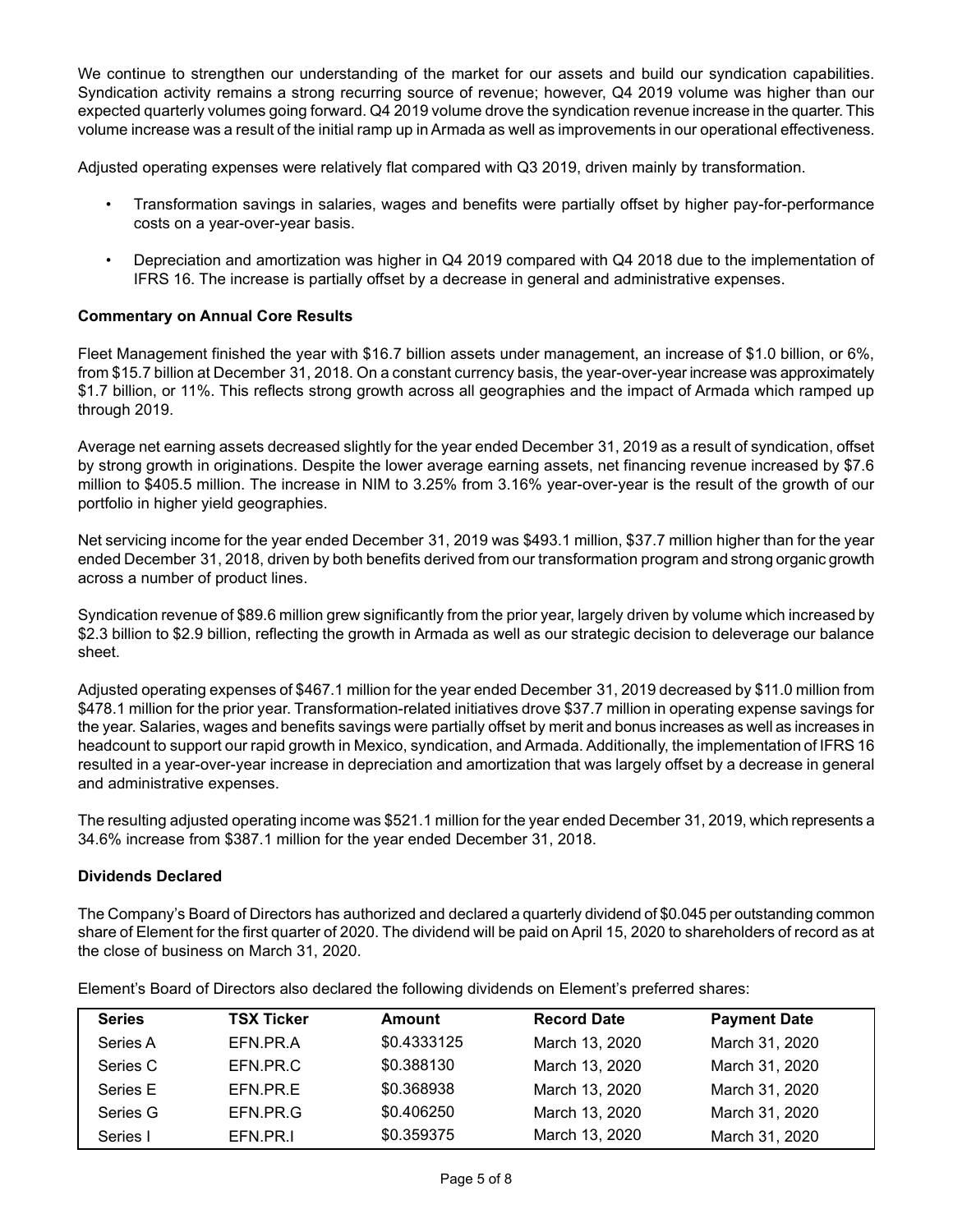We continue to strengthen our understanding of the market for our assets and build our syndication capabilities. Syndication activity remains a strong recurring source of revenue; however, Q4 2019 volume was higher than our expected quarterly volumes going forward. Q4 2019 volume drove the syndication revenue increase in the quarter. This volume increase was a result of the initial ramp up in Armada as well as improvements in our operational effectiveness.

Adjusted operating expenses were relatively flat compared with Q3 2019, driven mainly by transformation.

- Transformation savings in salaries, wages and benefits were partially offset by higher pay-for-performance costs on a year-over-year basis.
- Depreciation and amortization was higher in Q4 2019 compared with Q4 2018 due to the implementation of IFRS 16. The increase is partially offset by a decrease in general and administrative expenses.

# **Commentary on Annual Core Results**

Fleet Management finished the year with \$16.7 billion assets under management, an increase of \$1.0 billion, or 6%, from \$15.7 billion at December 31, 2018. On a constant currency basis, the year-over-year increase was approximately \$1.7 billion, or 11%. This reflects strong growth across all geographies and the impact of Armada which ramped up through 2019.

Average net earning assets decreased slightly for the year ended December 31, 2019 as a result of syndication, offset by strong growth in originations. Despite the lower average earning assets, net financing revenue increased by \$7.6 million to \$405.5 million. The increase in NIM to 3.25% from 3.16% year-over-year is the result of the growth of our portfolio in higher yield geographies.

Net servicing income for the year ended December 31, 2019 was \$493.1 million, \$37.7 million higher than for the year ended December 31, 2018, driven by both benefits derived from our transformation program and strong organic growth across a number of product lines.

Syndication revenue of \$89.6 million grew significantly from the prior year, largely driven by volume which increased by \$2.3 billion to \$2.9 billion, reflecting the growth in Armada as well as our strategic decision to deleverage our balance sheet.

Adjusted operating expenses of \$467.1 million for the year ended December 31, 2019 decreased by \$11.0 million from \$478.1 million for the prior year. Transformation-related initiatives drove \$37.7 million in operating expense savings for the year. Salaries, wages and benefits savings were partially offset by merit and bonus increases as well as increases in headcount to support our rapid growth in Mexico, syndication, and Armada. Additionally, the implementation of IFRS 16 resulted in a year-over-year increase in depreciation and amortization that was largely offset by a decrease in general and administrative expenses.

The resulting adjusted operating income was \$521.1 million for the year ended December 31, 2019, which represents a 34.6% increase from \$387.1 million for the year ended December 31, 2018.

#### **Dividends Declared**

The Company's Board of Directors has authorized and declared a quarterly dividend of \$0.045 per outstanding common share of Element for the first quarter of 2020. The dividend will be paid on April 15, 2020 to shareholders of record as at the close of business on March 31, 2020.

| <b>Series</b> | <b>TSX Ticker</b> | <b>Amount</b> | <b>Record Date</b> | <b>Payment Date</b> |
|---------------|-------------------|---------------|--------------------|---------------------|
| Series A      | EFN.PR.A          | \$0.4333125   | March 13, 2020     | March 31, 2020      |
| Series C      | EFN.PR.C.         | \$0.388130    | March 13, 2020     | March 31, 2020      |
| Series E      | EFN.PR.E          | \$0.368938    | March 13, 2020     | March 31, 2020      |
| Series G      | EFN.PR.G          | \$0.406250    | March 13, 2020     | March 31, 2020      |
| Series I      | EFN.PR.I          | \$0.359375    | March 13, 2020     | March 31, 2020      |

Element's Board of Directors also declared the following dividends on Element's preferred shares: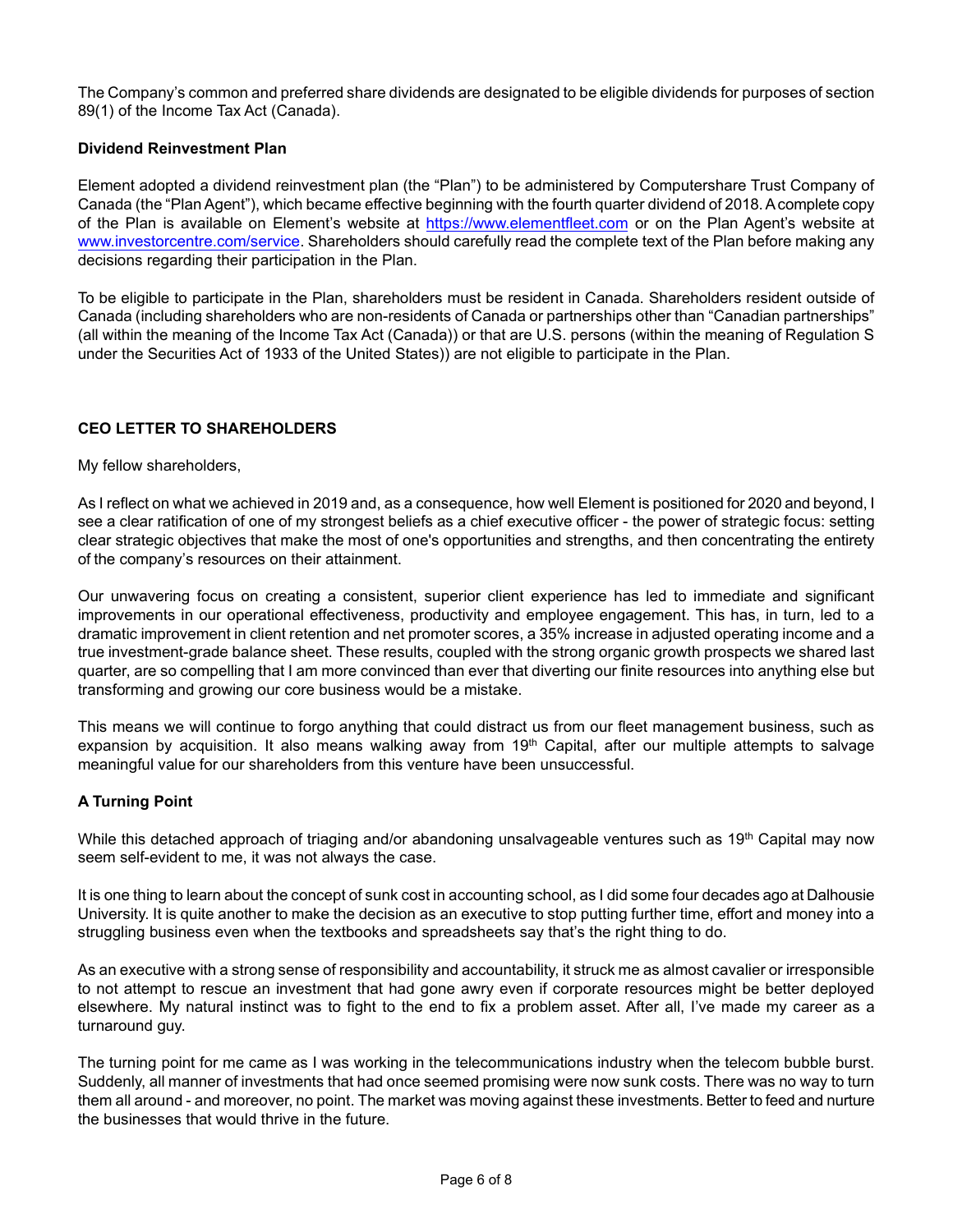The Company's common and preferred share dividends are designated to be eligible dividends for purposes of section 89(1) of the Income Tax Act (Canada).

# **Dividend Reinvestment Plan**

Element adopted a dividend reinvestment plan (the "Plan") to be administered by Computershare Trust Company of Canada (the "Plan Agent"), which became effective beginning with the fourth quarter dividend of 2018. A complete copy of the Plan is available on Element's website at [https://www.elementfleet.com](https://www.elementfleet.com/) or on the Plan Agent's website at [www.investorcentre.com/service.](http://www.investorcentre.com/service) Shareholders should carefully read the complete text of the Plan before making any decisions regarding their participation in the Plan.

To be eligible to participate in the Plan, shareholders must be resident in Canada. Shareholders resident outside of Canada (including shareholders who are non-residents of Canada or partnerships other than "Canadian partnerships" (all within the meaning of the Income Tax Act (Canada)) or that are U.S. persons (within the meaning of Regulation S under the Securities Act of 1933 of the United States)) are not eligible to participate in the Plan.

# **CEO LETTER TO SHAREHOLDERS**

#### My fellow shareholders,

As I reflect on what we achieved in 2019 and, as a consequence, how well Element is positioned for 2020 and beyond, I see a clear ratification of one of my strongest beliefs as a chief executive officer - the power of strategic focus: setting clear strategic objectives that make the most of one's opportunities and strengths, and then concentrating the entirety of the company's resources on their attainment.

Our unwavering focus on creating a consistent, superior client experience has led to immediate and significant improvements in our operational effectiveness, productivity and employee engagement. This has, in turn, led to a dramatic improvement in client retention and net promoter scores, a 35% increase in adjusted operating income and a true investment-grade balance sheet. These results, coupled with the strong organic growth prospects we shared last quarter, are so compelling that I am more convinced than ever that diverting our finite resources into anything else but transforming and growing our core business would be a mistake.

This means we will continue to forgo anything that could distract us from our fleet management business, such as expansion by acquisition. It also means walking away from 19<sup>th</sup> Capital, after our multiple attempts to salvage meaningful value for our shareholders from this venture have been unsuccessful.

#### **A Turning Point**

While this detached approach of triaging and/or abandoning unsalvageable ventures such as 19<sup>th</sup> Capital may now seem self-evident to me, it was not always the case.

It is one thing to learn about the concept of sunk cost in accounting school, as I did some four decades ago at Dalhousie University. It is quite another to make the decision as an executive to stop putting further time, effort and money into a struggling business even when the textbooks and spreadsheets say that's the right thing to do.

As an executive with a strong sense of responsibility and accountability, it struck me as almost cavalier or irresponsible to not attempt to rescue an investment that had gone awry even if corporate resources might be better deployed elsewhere. My natural instinct was to fight to the end to fix a problem asset. After all, I've made my career as a turnaround guy.

The turning point for me came as I was working in the telecommunications industry when the telecom bubble burst. Suddenly, all manner of investments that had once seemed promising were now sunk costs. There was no way to turn them all around - and moreover, no point. The market was moving against these investments. Better to feed and nurture the businesses that would thrive in the future.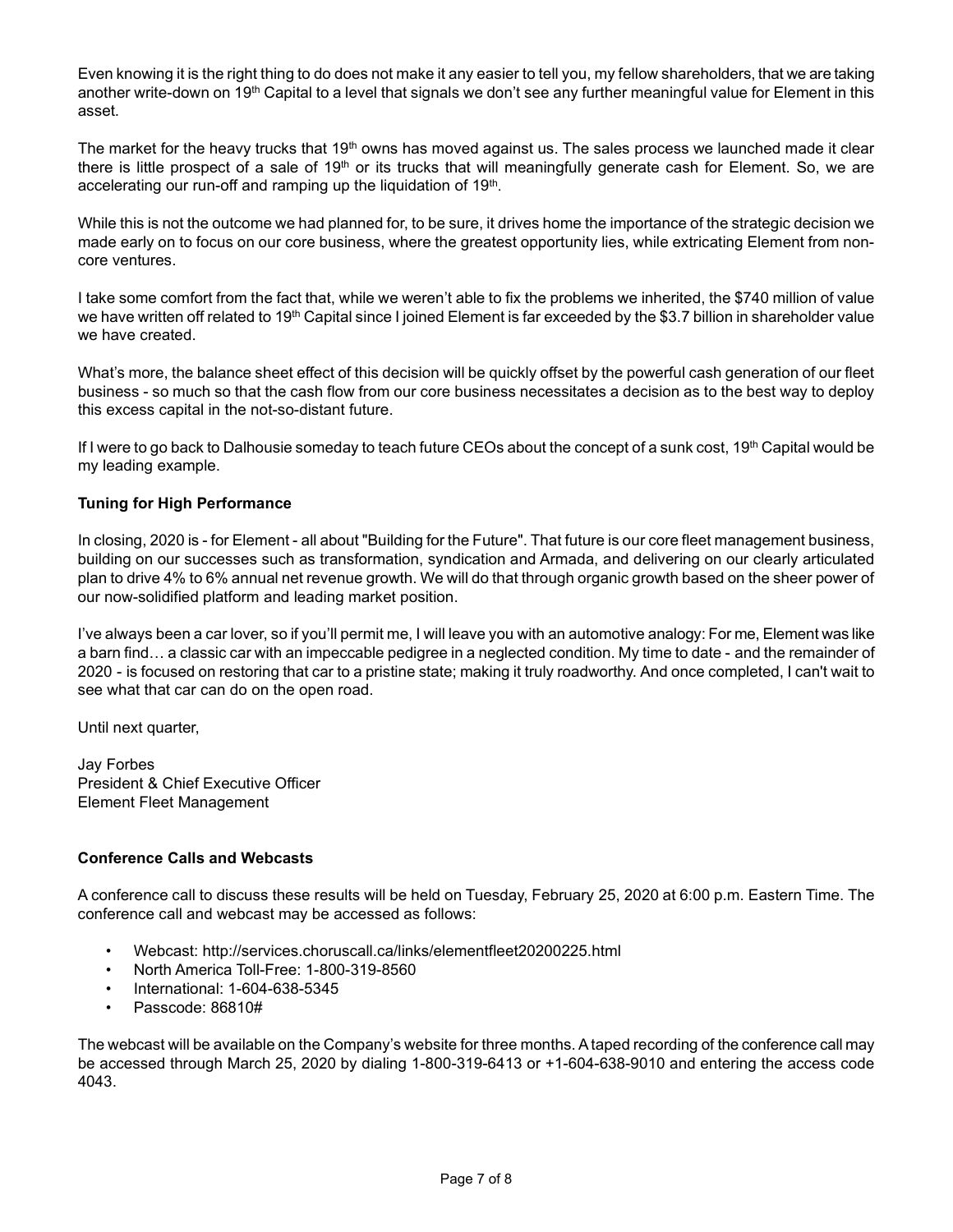Even knowing it is the right thing to do does not make it any easier to tell you, my fellow shareholders, that we are taking another write-down on 19<sup>th</sup> Capital to a level that signals we don't see any further meaningful value for Element in this asset.

The market for the heavy trucks that 19<sup>th</sup> owns has moved against us. The sales process we launched made it clear there is little prospect of a sale of  $19<sup>th</sup>$  or its trucks that will meaningfully generate cash for Element. So, we are accelerating our run-off and ramping up the liquidation of 19 $^{\rm th}$ .

While this is not the outcome we had planned for, to be sure, it drives home the importance of the strategic decision we made early on to focus on our core business, where the greatest opportunity lies, while extricating Element from noncore ventures.

I take some comfort from the fact that, while we weren't able to fix the problems we inherited, the \$740 million of value we have written off related to 19<sup>th</sup> Capital since I joined Element is far exceeded by the \$3.7 billion in shareholder value we have created.

What's more, the balance sheet effect of this decision will be quickly offset by the powerful cash generation of our fleet business - so much so that the cash flow from our core business necessitates a decision as to the best way to deploy this excess capital in the not-so-distant future.

If I were to go back to Dalhousie someday to teach future CEOs about the concept of a sunk cost, 19<sup>th</sup> Capital would be my leading example.

# **Tuning for High Performance**

In closing, 2020 is - for Element - all about "Building for the Future". That future is our core fleet management business, building on our successes such as transformation, syndication and Armada, and delivering on our clearly articulated plan to drive 4% to 6% annual net revenue growth. We will do that through organic growth based on the sheer power of our now-solidified platform and leading market position.

I've always been a car lover, so if you'll permit me, I will leave you with an automotive analogy: For me, Element was like a barn find… a classic car with an impeccable pedigree in a neglected condition. My time to date - and the remainder of 2020 - is focused on restoring that car to a pristine state; making it truly roadworthy. And once completed, I can't wait to see what that car can do on the open road.

Until next quarter,

Jay Forbes President & Chief Executive Officer Element Fleet Management

#### **Conference Calls and Webcasts**

A conference call to discuss these results will be held on Tuesday, February 25, 2020 at 6:00 p.m. Eastern Time. The conference call and webcast may be accessed as follows:

- Webcast: http://services.choruscall.ca/links/elementfleet20200225.html
- North America Toll-Free: 1-800-319-8560
- International: 1-604-638-5345
- Passcode: 86810#

The webcast will be available on the Company's website for three months. A taped recording of the conference call may be accessed through March 25, 2020 by dialing 1-800-319-6413 or +1-604-638-9010 and entering the access code 4043.